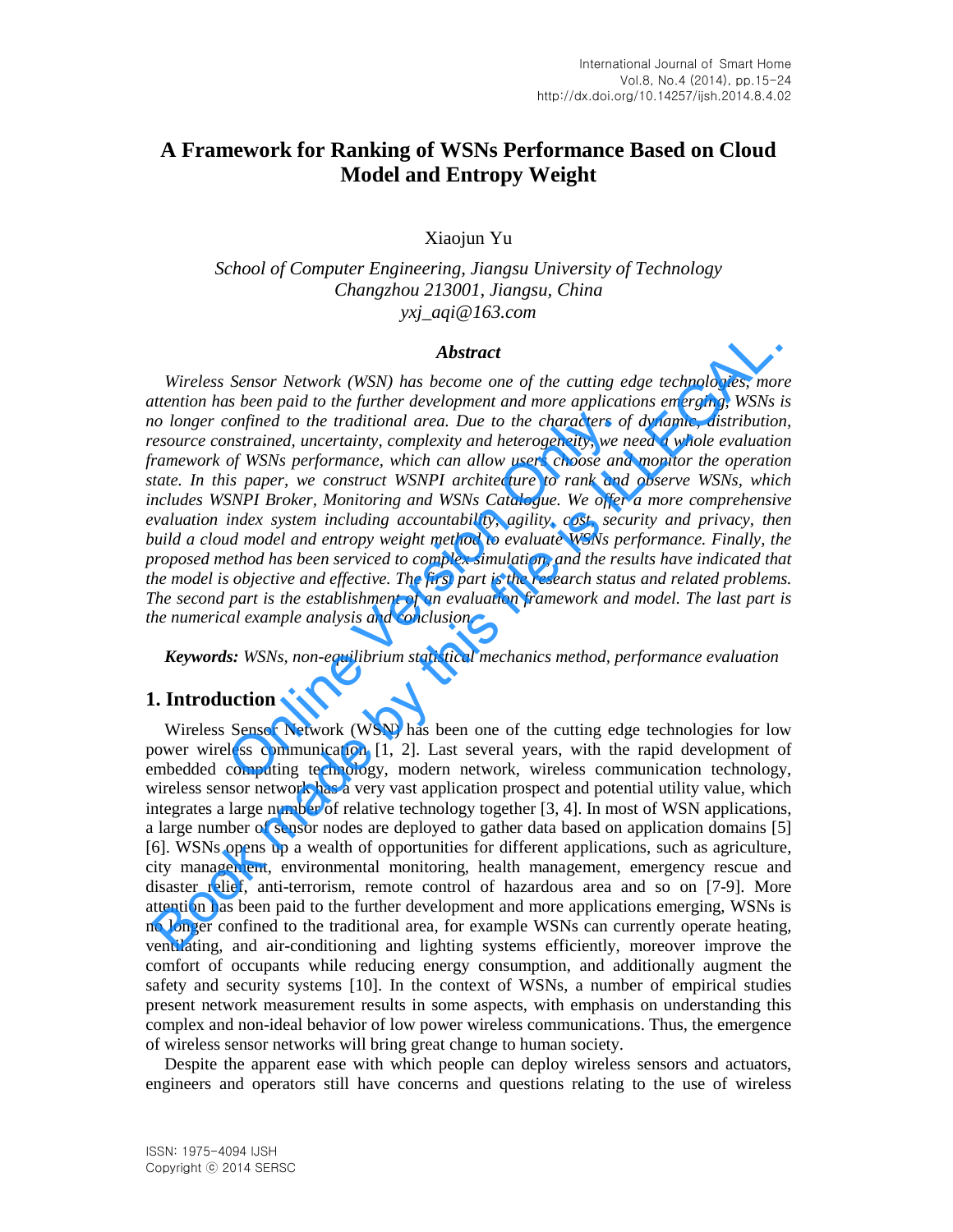# **A Framework for Ranking of WSNs Performance Based on Cloud Model and Entropy Weight**

Xiaojun Yu

*School of Computer Engineering, Jiangsu University of Technology Changzhou 213001, Jiangsu, China yxj\_aqi@163.com*

### *Abstract*

*Wireless Sensor Network (WSN) has become one of the cutting edge technologies, more attention has been paid to the further development and more applications emerging, WSNs is no longer confined to the traditional area. Due to the characters of dynamic, distribution, resource constrained, uncertainty, complexity and heterogeneity, we need a whole evaluation framework of WSNs performance, which can allow users choose and monitor the operation state. In this paper, we construct WSNPI architecture to rank and observe WSNs, which includes WSNPI Broker, Monitoring and WSNs Catalogue. We offer a more comprehensive evaluation index system including accountability, agility, cost, security and privacy, then build a cloud model and entropy weight method to evaluate WSNs performance. Finally, the proposed method has been serviced to complex simulation, and the results have indicated that the model is objective and effective. The first part is the research status and related problems. The second part is the establishment of an evaluation framework and model. The last part is the numerical example analysis and conclusion.*  confined to the traditional area. Due to the characters of nstrained, uncertainty, complexity and heterogeneity, we nof WSNs performance, which can allow users choose and is paper, we construct WSNPI architecture to rank a **Abstract**<br>**Abstract**<br>**Abstract**<br>**Example 1988** Moreover, WSN) has become one of the cutting edge technologies, more of onger confined to the future development and more applications emerging, WSNs of olonger confined to t

*Keywords: WSNs, non-equilibrium statistical mechanics method, performance evaluation* 

### **1. Introduction**

Wireless Sensor Network (WSN) has been one of the cutting edge technologies for low power wireless communication [1, 2]. Last several years, with the rapid development of embedded computing technology, modern network, wireless communication technology, wireless sensor network has a very vast application prospect and potential utility value, which integrates a large number of relative technology together [3, 4]. In most of WSN applications, a large number of sensor nodes are deployed to gather data based on application domains [5] [6]. WSNs opens up a wealth of opportunities for different applications, such as agriculture, city management, environmental monitoring, health management, emergency rescue and disaster relief, anti-terrorism, remote control of hazardous area and so on [7-9]. More attention has been paid to the further development and more applications emerging, WSNs is no longer confined to the traditional area, for example WSNs can currently operate heating, ventilating, and air-conditioning and lighting systems efficiently, moreover improve the comfort of occupants while reducing energy consumption, and additionally augment the safety and security systems [10]. In the context of WSNs, a number of empirical studies present network measurement results in some aspects, with emphasis on understanding this complex and non-ideal behavior of low power wireless communications. Thus, the emergence of wireless sensor networks will bring great change to human society.

Despite the apparent ease with which people can deploy wireless sensors and actuators, engineers and operators still have concerns and questions relating to the use of wireless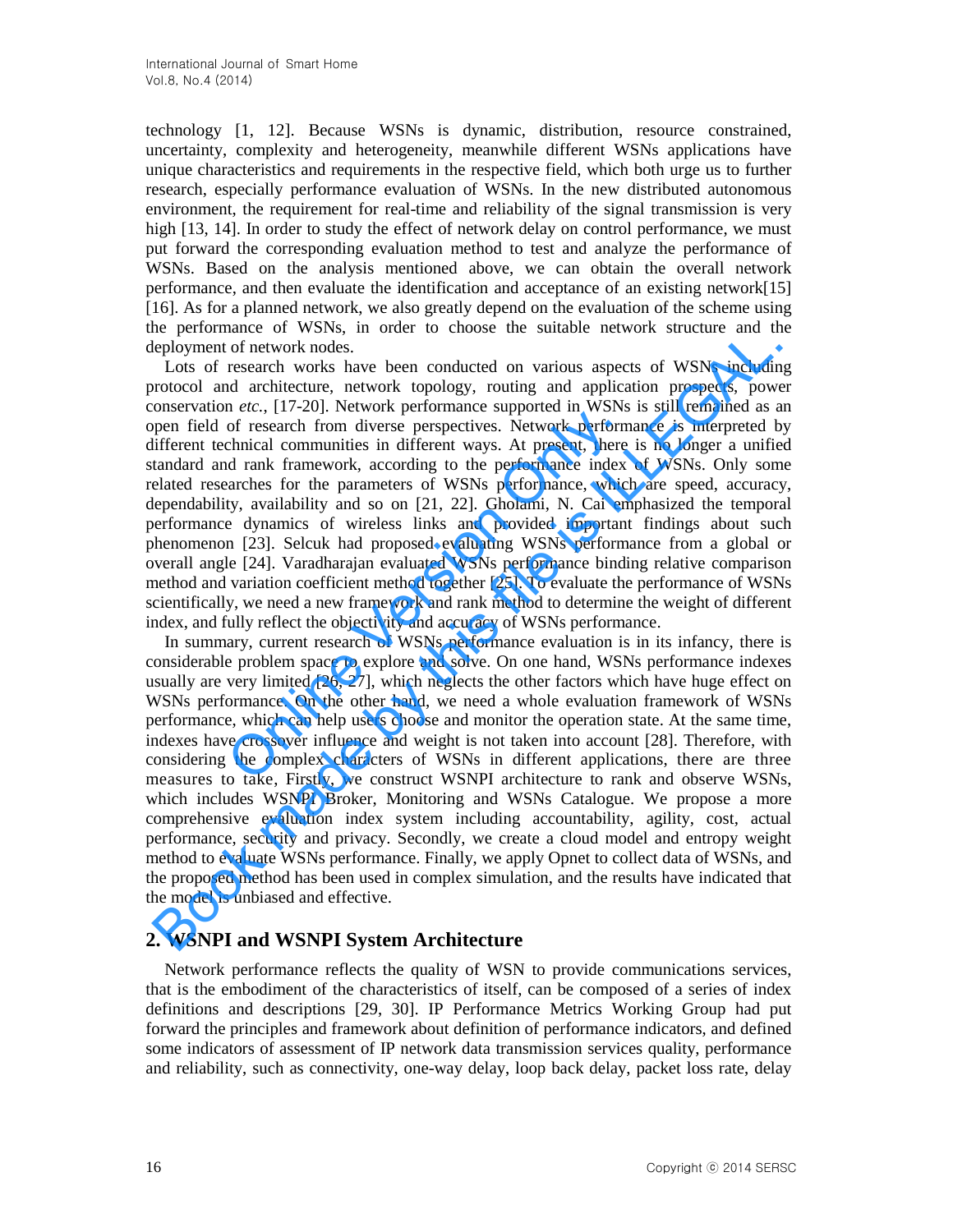technology [1, 12]. Because WSNs is dynamic, distribution, resource constrained, uncertainty, complexity and heterogeneity, meanwhile different WSNs applications have unique characteristics and requirements in the respective field, which both urge us to further research, especially performance evaluation of WSNs. In the new distributed autonomous environment, the requirement for real-time and reliability of the signal transmission is very high [13, 14]. In order to study the effect of network delay on control performance, we must put forward the corresponding evaluation method to test and analyze the performance of WSNs. Based on the analysis mentioned above, we can obtain the overall network performance, and then evaluate the identification and acceptance of an existing network[15] [16]. As for a planned network, we also greatly depend on the evaluation of the scheme using the performance of WSNs, in order to choose the suitable network structure and the deployment of network nodes.

Lots of research works have been conducted on various aspects of WSNs including protocol and architecture, network topology, routing and application prospects, power conservation *etc.*, [17-20]. Network performance supported in WSNs is still remained as an open field of research from diverse perspectives. Network performance is interpreted by different technical communities in different ways. At present, there is no longer a unified standard and rank framework, according to the performance index of WSNs. Only some related researches for the parameters of WSNs performance, which are speed, accuracy, dependability, availability and so on [21, 22]. Gholami, N. Cai emphasized the temporal performance dynamics of wireless links and provided important findings about such phenomenon [23]. Selcuk had proposed evaluating WSNs performance from a global or overall angle [24]. Varadharajan evaluated WSNs performance binding relative comparison method and variation coefficient method together [25]. To evaluate the performance of WSNs scientifically, we need a new framework and rank method to determine the weight of different index, and fully reflect the objectivity and accuracy of WSNs performance. For the complete supercolume present to the constrainer of the First<br>of research from diverse perspectives. Network perform<br>chnical communities in different ways. At present, there<br>d rank framework, according to the perfor

In summary, current research of WSNs performance evaluation is in its infancy, there is considerable problem space to explore and solve. On one hand, WSNs performance indexes usually are very limited [26, 27], which neglects the other factors which have huge effect on WSNs performance. On the other hand, we need a whole evaluation framework of WSNs performance, which can help users choose and monitor the operation state. At the same time, indexes have crossover influence and weight is not taken into account [28]. Therefore, with considering the complex characters of WSNs in different applications, there are three measures to take, Firstly, we construct WSNPI architecture to rank and observe WSNs, which includes WSNPI Broker, Monitoring and WSNs Catalogue. We propose a more comprehensive evaluation index system including accountability, agility, cost, actual performance, security and privacy. Secondly, we create a cloud model and entropy weight method to evaluate WSNs performance. Finally, we apply Opnet to collect data of WSNs, and the proposed method has been used in complex simulation, and the results have indicated that the model is unbiased and effective. Experiments or was in out to enous and summate the state and the reproducted and and performance or whose the state of the state in the logical or activity show been conducted on various aspects of WSNs including or<br>rotoco

### **2. WSNPI and WSNPI System Architecture**

Network performance reflects the quality of WSN to provide communications services, that is the embodiment of the characteristics of itself, can be composed of a series of index definitions and descriptions [29, 30]. IP Performance Metrics Working Group had put forward the principles and framework about definition of performance indicators, and defined some indicators of assessment of IP network data transmission services quality, performance and reliability, such as connectivity, one-way delay, loop back delay, packet loss rate, delay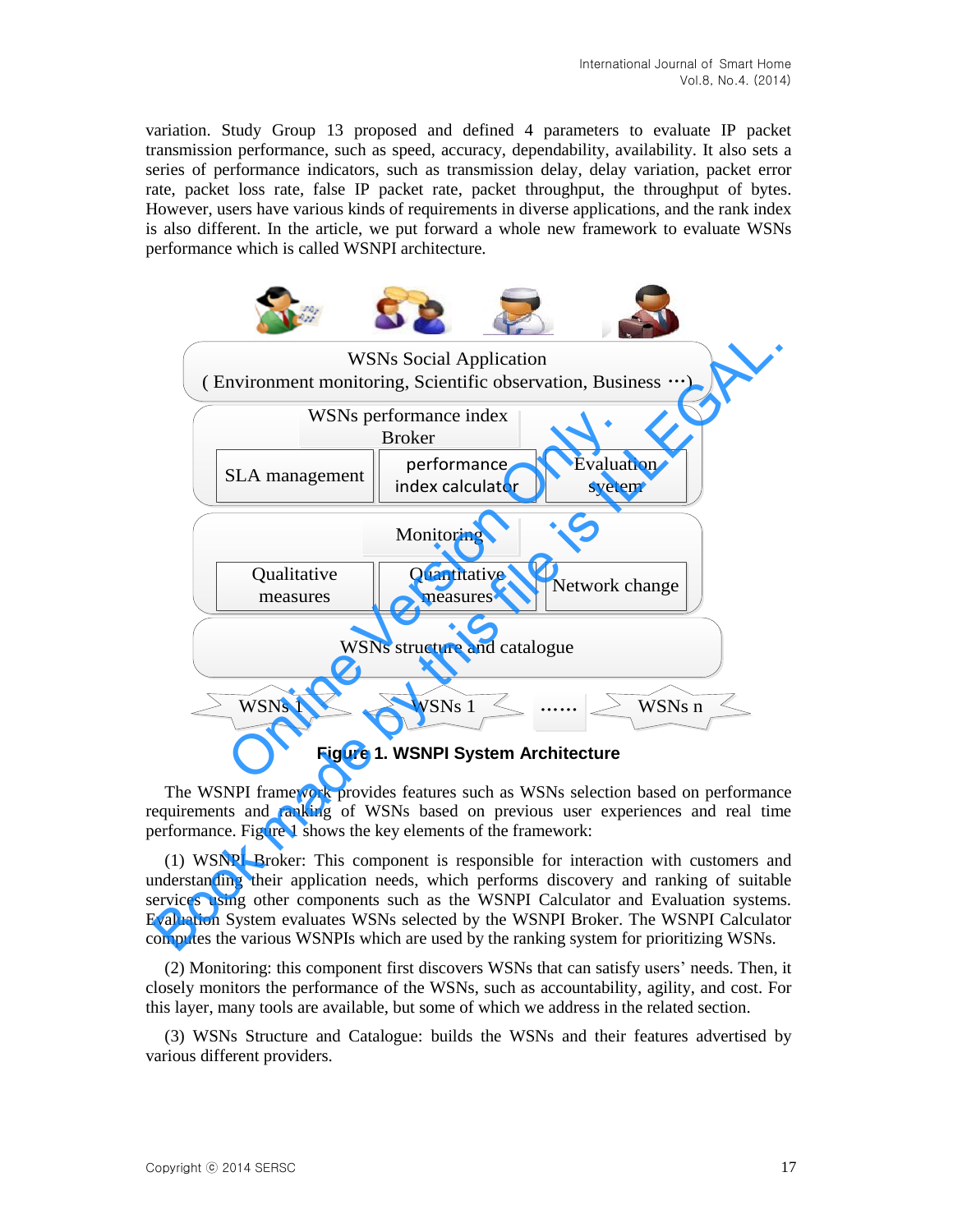variation. Study Group 13 proposed and defined 4 parameters to evaluate IP packet transmission performance, such as speed, accuracy, dependability, availability. It also sets a series of performance indicators, such as transmission delay, delay variation, packet error rate, packet loss rate, false IP packet rate, packet throughput, the throughput of bytes. However, users have various kinds of requirements in diverse applications, and the rank index is also different. In the article, we put forward a whole new framework to evaluate WSNs performance which is called WSNPI architecture.



**Figure 1. WSNPI System Architecture** 

The WSNPI framework provides features such as WSNs selection based on performance requirements and ranking of WSNs based on previous user experiences and real time performance. Figure 1 shows the key elements of the framework:

(1) WSNPI Broker: This component is responsible for interaction with customers and understanding their application needs, which performs discovery and ranking of suitable services using other components such as the WSNPI Calculator and Evaluation systems. Evaluation System evaluates WSNs selected by the WSNPI Broker. The WSNPI Calculator computes the various WSNPIs which are used by the ranking system for prioritizing WSNs.

(2) Monitoring: this component first discovers WSNs that can satisfy users' needs. Then, it closely monitors the performance of the WSNs, such as accountability, agility, and cost. For this layer, many tools are available, but some of which we address in the related section.

(3) WSNs Structure and Catalogue: builds the WSNs and their features advertised by various different providers.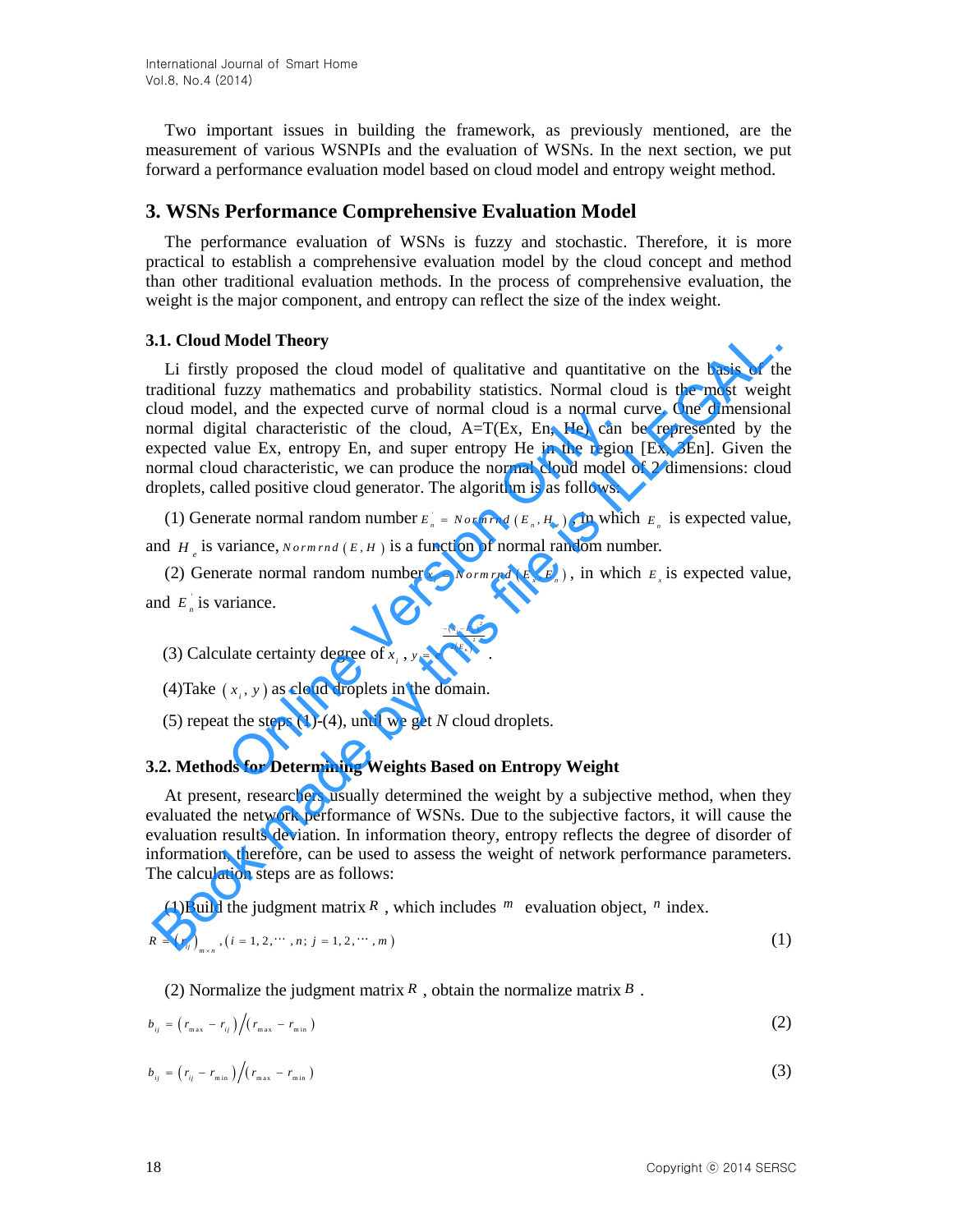Two important issues in building the framework, as previously mentioned, are the measurement of various WSNPIs and the evaluation of WSNs. In the next section, we put forward a performance evaluation model based on cloud model and entropy weight method.

### **3. WSNs Performance Comprehensive Evaluation Model**

The performance evaluation of WSNs is fuzzy and stochastic. Therefore, it is more practical to establish a comprehensive evaluation model by the cloud concept and method than other traditional evaluation methods. In the process of comprehensive evaluation, the weight is the major component, and entropy can reflect the size of the index weight.

### **3.1. Cloud Model Theory**

Li firstly proposed the cloud model of qualitative and quantitative on the basis of the traditional fuzzy mathematics and probability statistics. Normal cloud is the most weight cloud model, and the expected curve of normal cloud is a normal curve. One dimensional normal digital characteristic of the cloud,  $A=T(Ex, En, He)$  can be represented by the expected value Ex, entropy En, and super entropy He in the region [Ex, 3En]. Given the normal cloud characteristic, we can produce the normal cloud model of 2 dimensions: cloud droplets, called positive cloud generator. The algorithm is as follows: ital characteristic of the cloud, A=T(Ex, En, He) can<br>tital characteristic of the cloud, A=T(Ex, En, He) can<br>lue Ex, entropy En, and super entropy He in the region<br>and characteristic, we can produce the normal cloud model **L1. Cloud Model Theory**<br>
L1. **Cloud Model Theory**<br>
L1 firstly proposed the cloud model of qualitative and quantitative on the basis of the<br>
raditional fuzzy mathematics and probability statistics. Normal cloud is the mos

(1) Generate normal random number  $E_n^+ = Normal(E_n, H_e)$ , in which  $E_n$  is expected value, and  $H_e$  is variance, *Norm rnd* (*E*, *H*) is a function of normal random number.

(2) Generate normal random number  $x_i = Normal(E_x, E_x)$ , in which  $E_x$  is expected value, and  $E_n$  is variance.

 $(x_i - E_{\nu})$ 

*i x*

 $x_i - E$ 

 $- (x -$ 

(3) Calculate certainty degree of  $x_i$ ,  $(E_n)$  $2(E_{n})^2$ *n*  $y = e^{-2(E)}$  $= e^{-2(E_n)}$ .

(4) Take  $(x_i, y)$  as cloud droplets in the domain.

(5) repeat the steps (1)-(4), until we get *N* cloud droplets.

### **3.2. Methods for Determining Weights Based on Entropy Weight**

At present, researchers usually determined the weight by a subjective method, when they evaluated the network performance of WSNs. Due to the subjective factors, it will cause the evaluation results deviation. In information theory, entropy reflects the degree of disorder of information, therefore, can be used to assess the weight of network performance parameters. The calculation steps are as follows:

(1)Build the judgment matrix *R*, which includes *m* evaluation object, *n* index.  
\n
$$
R = (r_{ij})_{m \times n}, (i = 1, 2, \cdots, n; j = 1, 2, \cdots, m)
$$
\n(1)

(2) Normalize the judgment matrix  $R$ , obtain the normalize matrix  $B$ .

$$
b_{ij} = \left(r_{\text{max}} - r_{ij}\right) \bigg/ \left(r_{\text{max}} - r_{\text{min}}\right) \tag{2}
$$

$$
b_{ij} = (r_{ij} - r_{\min})/(r_{\max} - r_{\min})
$$
\n(3)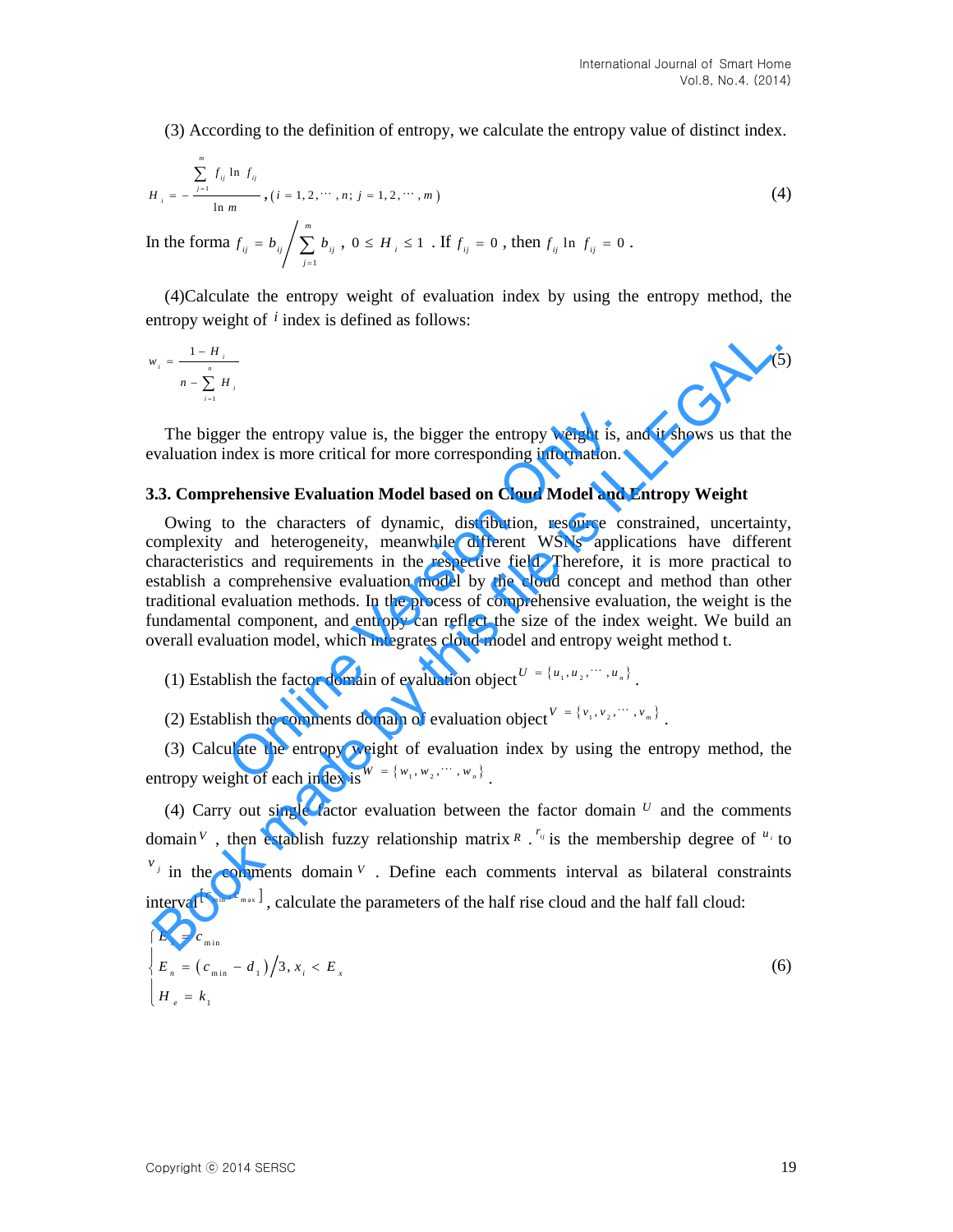(3) According to the definition of entropy, we calculate the entropy value of distinct index.

$$
H_{i} = -\frac{\sum_{j=1}^{m} f_{ij} \ln f_{ij}}{\ln m}, (i = 1, 2, \cdots, n; j = 1, 2, \cdots, m)
$$
\n(4)

In the forma 1 *m ij*  $\sim$  *ij*  $\sim$   $\sim$  *ij j*  $f_{ii} = b_{ii} / \sum b$  $b_{ij}$   $\bigg/ \sum_{j=1} b_{ij}$ ,  $0 \le H_i \le 1$  . If  $f_{ij} = 0$ , then  $f_{ij}$  ln  $f_{ij} = 0$ .

(4)Calculate the entropy weight of evaluation index by using the entropy method, the entropy weight of  $i$  index is defined as follows:

$$
w_i = \frac{1 - H_i}{n - \sum_{i=1}^n H_i}
$$
 (5)

The bigger the entropy value is, the bigger the entropy weight is, and it shows us that the evaluation index is more critical for more corresponding information.

#### **3.3. Comprehensive Evaluation Model based on Cloud Model and Entropy Weight**

Owing to the characters of dynamic, distribution, resource constrained, uncertainty, complexity and heterogeneity, meanwhile different WSNs applications have different characteristics and requirements in the respective field. Therefore, it is more practical to establish a comprehensive evaluation model by the cloud concept and method than other traditional evaluation methods. In the process of comprehensive evaluation, the weight is the fundamental component, and entropy can reflect the size of the index weight. We build an overall evaluation model, which integrates cloud model and entropy weight method t. er the entropy value is, the bigger the entropy weight is, a<br>ndex is more critical for more corresponding information.<br> **Chensive Evaluation Model based on Cloud Model and**<br>
o the characters of dynamic, distribution, reso  $v_r = \frac{1-\pi_i}{\pi - \sum_{i=1}^{n} \pi_i}$  (3)<br>
The bigger the entropy value is, the bigger the entropy weight is, and it shows us that the<br>
valuation index is more critical for more corresponding information.<br>
3.3. Comprehensive Eva

(1) Establish the factor domain of evaluation object<sup> $U = \{u_1, u_2, \dots, u_n\}$ .</sup>

(2) Establish the comments domain of evaluation object<sup>V</sup> = { $v_1, v_2, \dots, v_m$ }.

(3) Calculate the entropy weight of evaluation index by using the entropy method, the entropy weight of each index is  $W = \{w_1, w_2, \dots, w_n\}$ .

(4) Carry out single factor evaluation between the factor domain  $U$  and the comments domain<sup>V</sup>, then establish fuzzy relationship matrix  $R \cdot r_{ij}$  is the membership degree of  $u_i$  to  $v_j$  in the comments domain <sup>*V*</sup>. Define each comments interval as bilateral constraints interval  $[{}^{c_{min}, c_{max}}]$ , calculate the parameters of the half rise cloud and the half fall cloud:

$$
\begin{cases}\nE_x = c_{\min} \\
E_n = (c_{\min} - d_1)/3, x_i < E_x \\
H_e = k_1\n\end{cases} \tag{6}
$$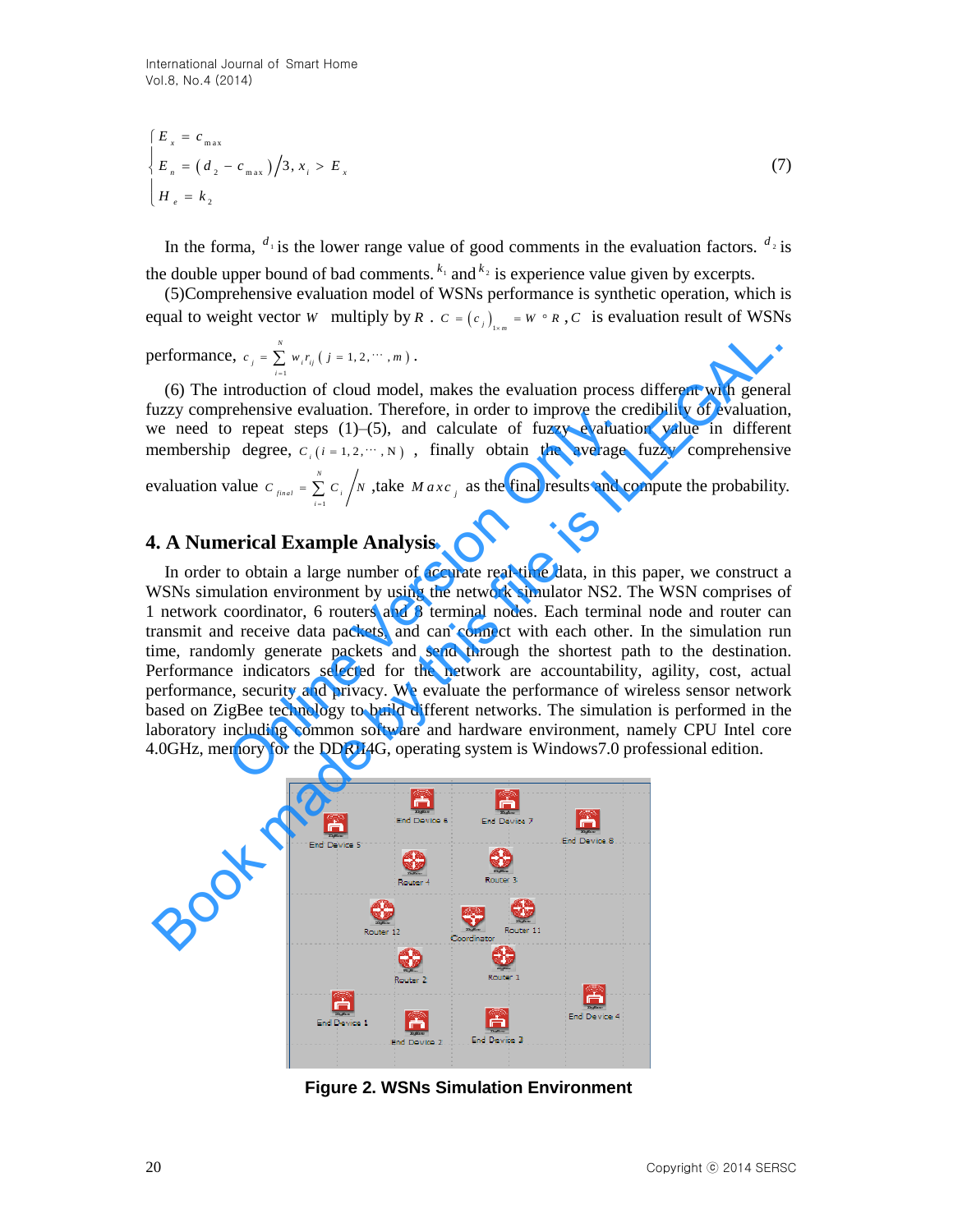$$
\begin{cases}\nE_x = c_{\text{max}} \\
E_n = (d_2 - c_{\text{max}})/3, x_i > E_x \\
H_e = k_2\n\end{cases}
$$
\n(7)

In the forma,  $d_1$  is the lower range value of good comments in the evaluation factors.  $d_2$  is the double upper bound of bad comments.  $k_1$  and  $k_2$  is experience value given by excerpts.

(5)Comprehensive evaluation model of WSNs performance is synthetic operation, which is equal to weight vector *W* multiply by *R* .  $C = (c_j)_{j \times m} = W \circ R$ , *C* is evaluation result of WSNs

performance,  $c_i = \sum w_i r_{ii} (j = 1, 2, \dots, m)$ 1  $\sum_{i}^{N} w_{i} r_{ii}$  (  $j = 1, 2, \cdots$  ,  $j = \sum_{i=1}^{N} w_i r_{ij}$  $c_j = \sum_{i=1}^N w_i r_{ij} (j = 1, 2, \dots, m).$ 

(6) The introduction of cloud model, makes the evaluation process different with general fuzzy comprehensive evaluation. Therefore, in order to improve the credibility of evaluation, we need to repeat steps  $(1)$ – $(5)$ , and calculate of fuzzy evaluation value in different membership degree,  $c_i$  ( $i = 1, 2, \dots, N$ ), finally obtain the average fuzzy comprehensive evaluation value 1 *N*  $\sum_{i=1}^{i}$  $C_{grav} = \sum C_i / N$  $=\sum_{i=1}^n c_i / N$ , take *M axc*<sub>j</sub> as the final results and compute the probability.

### **4. A Numerical Example Analysis**

 $E = (d_1 - c_{1, m})/3, x, y, E$ <br>
(B)<br>  $H = k_1$ <br>  $H = k_2$ <br>
the double upper bound of bad comments,  $\alpha$  and  $\alpha$  is experimente value given by excerpts.<br>
(5.000) compressive vectorination model of WSNS performance,  $c_1 = \sum_{k=1}^{\infty}$ In order to obtain a large number of accurate real-time data, in this paper, we construct a WSNs simulation environment by using the network simulator NS2. The WSN comprises of 1 network coordinator, 6 routers and 8 terminal nodes. Each terminal node and router can transmit and receive data packets, and can connect with each other. In the simulation run time, randomly generate packets and send through the shortest path to the destination. Performance indicators selected for the network are accountability, agility, cost, actual performance, security and privacy. We evaluate the performance of wireless sensor network based on ZigBee technology to build different networks. The simulation is performed in the laboratory including common software and hardware environment, namely CPU Intel core 4.0GHz, memory for the DDRII4G, operating system is Windows7.0 professional edition. Etherisive evaluation. Therefore, in otdet to implove the ch<br>
o repeat steps (1)–(5), and calculate of fuzzy evaluation<br>
o degree,  $C_i$  ( $i = 1, 2, \dots, N$ ), finally obtain the average<br>
value  $C_{\text{final}} = \sum_{i=1}^{N} C_i / N$ , take  $Max$ erformance,  $c_j = \sum_{n=1}^{\infty} w_i r_n (j=1,2,\dots,n)$ .<br>
(6) The introduction of cloud model, makes the evaluation process different with generaty<br>
uzy comprehensive evaluation. Therefore, in order to improve the credibility of eval



**Figure 2. WSNs Simulation Environment**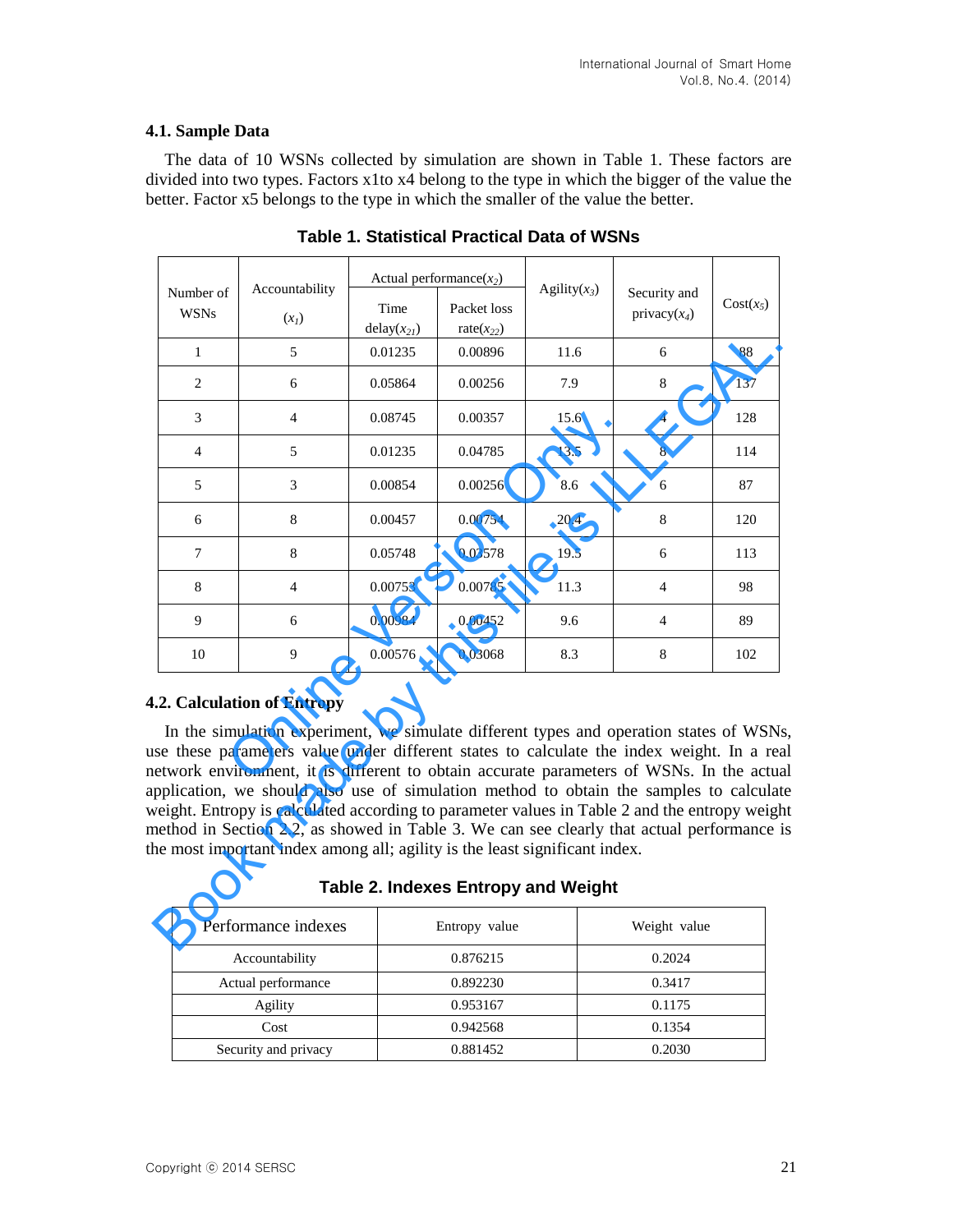#### **4.1. Sample Data**

The data of 10 WSNs collected by simulation are shown in Table 1. These factors are divided into two types. Factors x1to x4 belong to the type in which the bigger of the value the better. Factor x5 belongs to the type in which the smaller of the value the better.

| Number of<br><b>WSNs</b> | Accountability                                                                                           | Time            | Actual performance $(x_2)$<br>Packet loss  | Agility $(x_3)$ | Security and<br>privacy $(x_4)$                                                                                                                                                                                                                                                                                                                                                                                                                                                                                                                                       | $Cost(x_5)$ |
|--------------------------|----------------------------------------------------------------------------------------------------------|-----------------|--------------------------------------------|-----------------|-----------------------------------------------------------------------------------------------------------------------------------------------------------------------------------------------------------------------------------------------------------------------------------------------------------------------------------------------------------------------------------------------------------------------------------------------------------------------------------------------------------------------------------------------------------------------|-------------|
|                          | (x <sub>I</sub> )                                                                                        | $delay(x_{2l})$ | rate $(x_{22})$                            |                 |                                                                                                                                                                                                                                                                                                                                                                                                                                                                                                                                                                       |             |
| $\mathbf{1}$             | 5                                                                                                        | 0.01235         | 0.00896                                    | 11.6            | 6                                                                                                                                                                                                                                                                                                                                                                                                                                                                                                                                                                     | 88          |
| $\overline{2}$           | 6                                                                                                        | 0.05864         | 0.00256                                    | 7.9             | 8                                                                                                                                                                                                                                                                                                                                                                                                                                                                                                                                                                     | 137         |
| 3                        | $\overline{4}$                                                                                           | 0.08745         | 0.00357                                    | 15.6            | $\overline{4}$                                                                                                                                                                                                                                                                                                                                                                                                                                                                                                                                                        | 128         |
| $\overline{4}$           | 5                                                                                                        | 0.01235         | 0.04785                                    | 13.5            | 8                                                                                                                                                                                                                                                                                                                                                                                                                                                                                                                                                                     | 114         |
| 5                        | 3                                                                                                        | 0.00854         | 0.00256                                    | 8.6             | 6                                                                                                                                                                                                                                                                                                                                                                                                                                                                                                                                                                     | 87          |
| 6                        | 8                                                                                                        | 0.00457         | 0.00754                                    | 20.4            | 8                                                                                                                                                                                                                                                                                                                                                                                                                                                                                                                                                                     | 120         |
| $\overline{7}$           | 8                                                                                                        | 0.05748         | 0.03578                                    | 19.5            | 6                                                                                                                                                                                                                                                                                                                                                                                                                                                                                                                                                                     | 113         |
| 8                        | $\overline{4}$                                                                                           | 0.00753         | 0.00785                                    | 11.3            | $\overline{4}$                                                                                                                                                                                                                                                                                                                                                                                                                                                                                                                                                        | 98          |
| 9                        | 6                                                                                                        | 0.00984         | 0.00452                                    | 9.6             | 4                                                                                                                                                                                                                                                                                                                                                                                                                                                                                                                                                                     | 89          |
| 10                       | 9                                                                                                        | 0.00576         | 0.03068                                    | 8.3             | 8                                                                                                                                                                                                                                                                                                                                                                                                                                                                                                                                                                     | 102         |
|                          | .2. Calculation of Entropy<br>he most important index among all; agility is the least significant index. |                 | <b>Table 2. Indexes Entropy and Weight</b> |                 | In the simulation experiment, we simulate different types and operation states of WSNs<br>use these parameters value under different states to calculate the index weight. In a rea<br>letwork environment, it is different to obtain accurate parameters of WSNs. In the actua<br>pplication, we should also use of simulation method to obtain the samples to calculat<br>veight. Entropy is calculated according to parameter values in Table 2 and the entropy weigh<br>nethod in Section 2.2, as showed in Table 3. We can see clearly that actual performance i |             |
|                          | Performance indexes                                                                                      |                 | Entropy value                              |                 | Weight value                                                                                                                                                                                                                                                                                                                                                                                                                                                                                                                                                          |             |
|                          |                                                                                                          |                 |                                            |                 |                                                                                                                                                                                                                                                                                                                                                                                                                                                                                                                                                                       |             |

**Table 1. Statistical Practical Data of WSNs** 

### **4.2. Calculation of Entropy**

**Table 2. Indexes Entropy and Weight**

| Performance indexes  | Entropy value | Weight value |
|----------------------|---------------|--------------|
| Accountability       | 0.876215      | 0.2024       |
| Actual performance   | 0.892230      | 0.3417       |
| Agility              | 0.953167      | 0.1175       |
| Cost                 | 0.942568      | 0.1354       |
| Security and privacy | 0.881452      | 0.2030       |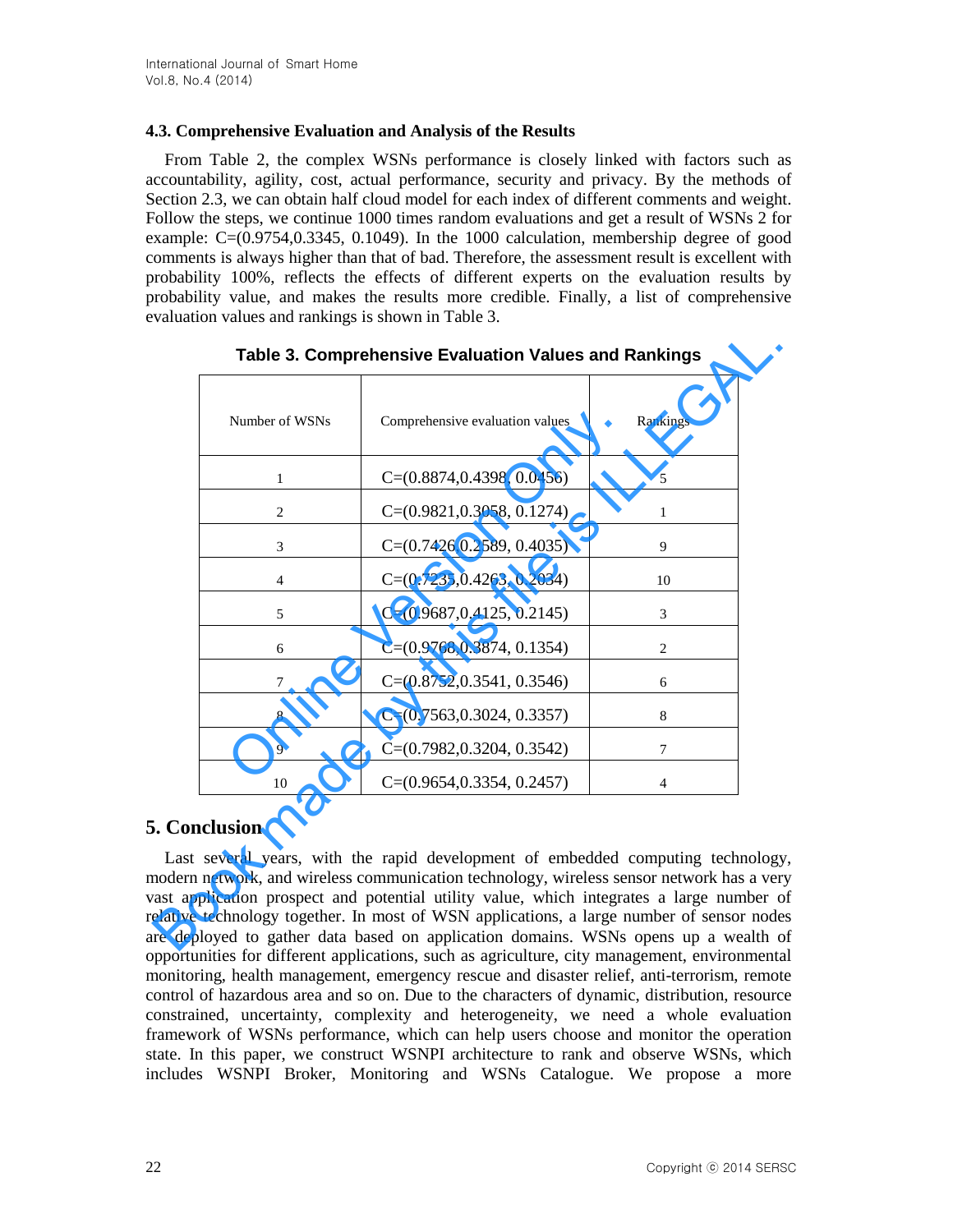### **4.3. Comprehensive Evaluation and Analysis of the Results**

From Table 2, the complex WSNs performance is closely linked with factors such as accountability, agility, cost, actual performance, security and privacy. By the methods of Section 2.3, we can obtain half cloud model for each index of different comments and weight. Follow the steps, we continue 1000 times random evaluations and get a result of WSNs 2 for example: C=(0.9754,0.3345, 0.1049). In the 1000 calculation, membership degree of good comments is always higher than that of bad. Therefore, the assessment result is excellent with probability 100%, reflects the effects of different experts on the evaluation results by probability value, and makes the results more credible. Finally, a list of comprehensive evaluation values and rankings is shown in Table 3.

| Number of WSNs | Comprehensive evaluation values                                                                                                                                                                                                                                          | Rankings       |
|----------------|--------------------------------------------------------------------------------------------------------------------------------------------------------------------------------------------------------------------------------------------------------------------------|----------------|
| 1              | $C=(0.8874, 0.4398, 0.0456)$                                                                                                                                                                                                                                             | 5              |
| $\overline{c}$ | $C=(0.9821, 0.3058, 0.1274)$                                                                                                                                                                                                                                             | 1              |
| 3              | $C=(0.7426, 0.2589, 0.4035)$                                                                                                                                                                                                                                             | 9              |
| 4              | $C=(0.7235, 0.4263, 0.2034)$                                                                                                                                                                                                                                             | 10             |
| 5              | $C=(0.9687, 0.4125, 0.2145)$                                                                                                                                                                                                                                             | 3              |
| 6              | $C=(0.9768, 0.3874, 0.1354)$                                                                                                                                                                                                                                             | $\overline{c}$ |
| 7              | $C=(0.8752, 0.3541, 0.3546)$                                                                                                                                                                                                                                             | 6              |
| 8              | $C=(0.7563, 0.3024, 0.3357)$                                                                                                                                                                                                                                             | 8              |
| 9              | $C=(0.7982, 0.3204, 0.3542)$                                                                                                                                                                                                                                             | 7              |
| 10             | $C=(0.9654, 0.3354, 0.2457)$                                                                                                                                                                                                                                             | $\overline{4}$ |
| 5. Conclusion  | Last several years, with the rapid development of embedded computing technology<br>nodern network, and wireless communication technology, wireless sensor network has a ver<br>rast application prospect and potential utility value, which integrates a large number or |                |

### **Table 3. Comprehensive Evaluation Values and Rankings**

## **5. Conclusion**

Last several years, with the rapid development of embedded computing technology, modern network, and wireless communication technology, wireless sensor network has a very vast application prospect and potential utility value, which integrates a large number of relative technology together. In most of WSN applications, a large number of sensor nodes are deployed to gather data based on application domains. WSNs opens up a wealth of opportunities for different applications, such as agriculture, city management, environmental monitoring, health management, emergency rescue and disaster relief, anti-terrorism, remote control of hazardous area and so on. Due to the characters of dynamic, distribution, resource constrained, uncertainty, complexity and heterogeneity, we need a whole evaluation framework of WSNs performance, which can help users choose and monitor the operation state. In this paper, we construct WSNPI architecture to rank and observe WSNs, which includes WSNPI Broker, Monitoring and WSNs Catalogue. We propose a more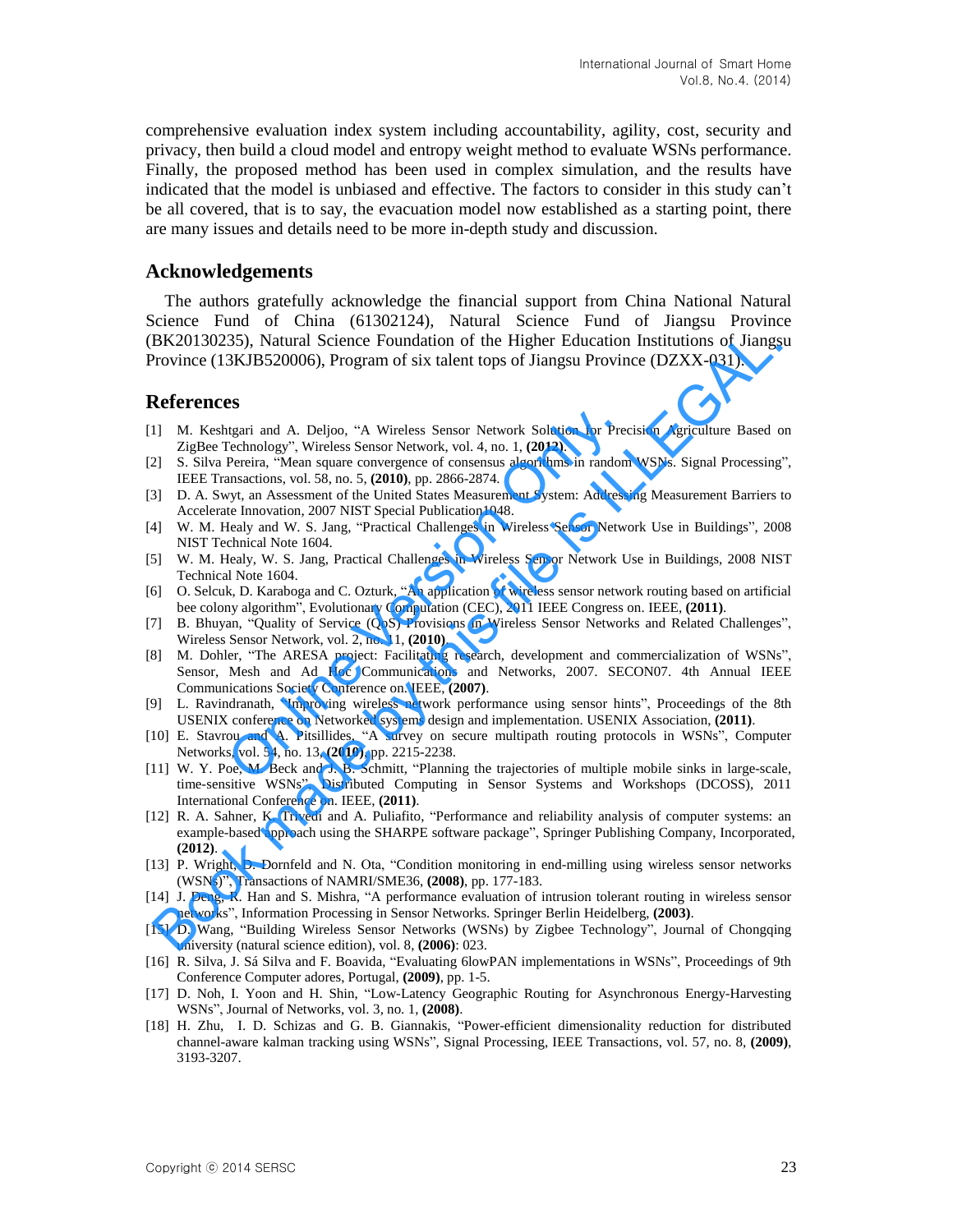comprehensive evaluation index system including accountability, agility, cost, security and privacy, then build a cloud model and entropy weight method to evaluate WSNs performance. Finally, the proposed method has been used in complex simulation, and the results have indicated that the model is unbiased and effective. The factors to consider in this study can't be all covered, that is to say, the evacuation model now established as a starting point, there are many issues and details need to be more in-depth study and discussion.

#### **Acknowledgements**

The authors gratefully acknowledge the financial support from China National Natural Science Fund of China (61302124), Natural Science Fund of Jiangsu Province (BK20130235), Natural Science Foundation of the Higher Education Institutions of Jiangsu Province (13KJB520006), Program of six talent tops of Jiangsu Province (DZXX-031).

#### **References**

- [1] M. Keshtgari and A. Deljoo, "A Wireless Sensor Network Solution for Precision Agriculture Based on ZigBee Technology", Wireless Sensor Network, vol. 4, no. 1, **(2012)**.
- [2] S. Silva Pereira, "Mean square convergence of consensus algorithms in random WSNs. Signal Processing", IEEE Transactions, vol. 58, no. 5, **(2010)**, pp. 2866-2874.
- [3] D. A. Swyt, an Assessment of the United States Measurement System: Addressing Measurement Barriers to Accelerate Innovation, 2007 NIST Special Publication1048.
- [4] W. M. Healy and W. S. Jang, "Practical Challenges in Wireless Sensor Network Use in Buildings", 2008 NIST Technical Note 1604.
- [5] W. M. Healy, W. S. Jang, Practical Challenges in Wireless Sensor Network Use in Buildings, 2008 NIST Technical Note 1604.
- [6] O. Selcuk, D. Karaboga and C. Ozturk, "An application of wireless sensor network routing based on artificial bee colony algorithm", Evolutionary Computation (CEC), 2011 IEEE Congress on. IEEE, **(2011)**.
- [7] B. Bhuyan, "Quality of Service (QoS) Provisions in Wireless Sensor Networks and Related Challenges", Wireless Sensor Network, vol. 2, no. 11, **(2010)**.
- [8] M. Dohler, "The ARESA project: Facilitating research, development and commercialization of WSNs", Sensor, Mesh and Ad Hoc Communications and Networks, 2007. SECON07. 4th Annual IEEE Communications Society Conference on. IEEE, **(2007)**. tgari and A. Deljoo, "A Wireless Sensor Network Solution for Precent<br>nology", Wireless Sensor Network, vol. 4, no. 1, (2012).<br>Pereira, "Mean square convergence of consensus algorithms in random<br>masactions, vol. 58, no. 5, BK20130235), Natural Science Foundation of the Higher Education Institutions of Jiangs<br>
Province (13KJB520006), Program of six talent tops of Jiangsu Province (DZXX-031).<br>
11 M. Keshtgari and A. Deljoo, "A Wireless Sensor
- [9] L. Ravindranath, "Improving wireless network performance using sensor hints", Proceedings of the 8th USENIX conference on Networked systems design and implementation. USENIX Association, **(2011)**.
- [10] E. Stavrou and A. Pitsillides, "A survey on secure multipath routing protocols in WSNs", Computer Networks, vol. 54, no. 13, **(2010)**, pp. 2215-2238.
- [11] W. Y. Poe, M. Beck and J. B. Schmitt, "Planning the trajectories of multiple mobile sinks in large-scale, time-sensitive WSNs", Distributed Computing in Sensor Systems and Workshops (DCOSS), 2011 International Conference on. IEEE, **(2011)**.
- [12] R. A. Sahner, K. Trivedi and A. Puliafito, "Performance and reliability analysis of computer systems: an example-based approach using the SHARPE software package", Springer Publishing Company, Incorporated, **(2012)**.
- [13] P. Wright, D. Dornfeld and N. Ota, "Condition monitoring in end-milling using wireless sensor networks (WSNs)", Transactions of NAMRI/SME36, **(2008)**, pp. 177-183.
- [14] J. Deng, R. Han and S. Mishra, "A performance evaluation of intrusion tolerant routing in wireless sensor networks", Information Processing in Sensor Networks. Springer Berlin Heidelberg, **(2003)**.
- [15] D. Wang, "Building Wireless Sensor Networks (WSNs) by Zigbee Technology", Journal of Chongqing university (natural science edition), vol. 8, **(2006)**: 023.
- [16] R. Silva, J. Sá Silva and F. Boavida, "Evaluating 6lowPAN implementations in WSNs", Proceedings of 9th Conference Computer adores, Portugal, **(2009)**, pp. 1-5.
- [17] D. Noh, I. Yoon and H. Shin, "Low-Latency Geographic Routing for Asynchronous Energy-Harvesting WSNs", Journal of Networks, vol. 3, no. 1, **(2008)**.
- [18] H. Zhu, I. D. Schizas and G. B. Giannakis, "Power-efficient dimensionality reduction for distributed channel-aware kalman tracking using WSNs", Signal Processing, IEEE Transactions, vol. 57, no. 8, **(2009)**, 3193-3207.